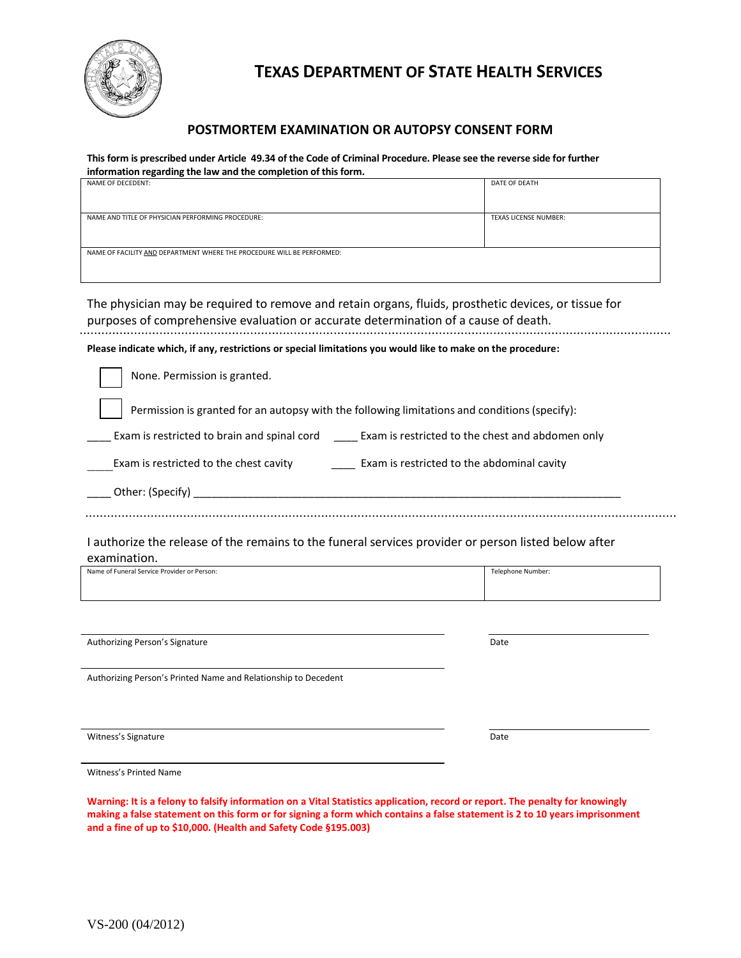

# **TEXAS DEPARTMENT OF STATE HEALTH SERVICES**

### **POSTMORTEM EXAMINATION OR AUTOPSY CONSENT FORM**

**This form is prescribed under Article 49.34 of the Code of Criminal Procedure. Please see the reverse side for further information regarding the law and the completion of this form.**

| NAME OF DECEDENT:                                                      | DATE OF DEATH                |  |  |
|------------------------------------------------------------------------|------------------------------|--|--|
|                                                                        |                              |  |  |
|                                                                        |                              |  |  |
| NAME AND TITLE OF PHYSICIAN PERFORMING PROCEDURE:                      | <b>TEXAS LICENSE NUMBER:</b> |  |  |
|                                                                        |                              |  |  |
|                                                                        |                              |  |  |
|                                                                        |                              |  |  |
| NAME OF FACILITY AND DEPARTMENT WHERE THE PROCEDURE WILL BE PERFORMED: |                              |  |  |
|                                                                        |                              |  |  |
|                                                                        |                              |  |  |

The physician may be required to remove and retain organs, fluids, prosthetic devices, or tissue for purposes of comprehensive evaluation or accurate determination of a cause of death.

**Please indicate which, if any, restrictions or special limitations you would like to make on the procedure:**

None. Permission is granted.

Permission is granted for an autopsy with the following limitations and conditions(specify):

Exam is restricted to brain and spinal cord \_\_\_\_\_\_ Exam is restricted to the chest and abdomen only

Exam is restricted to the chest cavity \_\_\_\_\_\_\_\_\_\_ Exam is restricted to the abdominal cavity

| Other:<br>$\cdot$ $\cdot$<br>Snecitv |  |
|--------------------------------------|--|
|                                      |  |

I authorize the release of the remains to the funeral services provider or person listed below after

examination.

| Name of Funeral Service Provider or Person: | Telephone Number: |
|---------------------------------------------|-------------------|
|                                             |                   |
|                                             |                   |

Authorizing Person's Signature **Date Date Date Date Date Date Date Date Date Date Date Date Date** 

Authorizing Person's Printed Name and Relationship to Decedent

Witness's Signature Date and the Date of the Date of the Date of the Date of the Date of the Date of the Date of the Date of the Date of the Date of the Date of the Date of the Date of the Date of the Date of the Date of t

Witness's Printed Name

**Warning: It is a felony to falsify information on a Vital Statistics application, record or report. The penalty for knowingly making a false statement on this form or for signing a form which contains a false statement is 2 to 10 years imprisonment and a fine of up to \$10,000. (Health and Safety Code §195.003)**